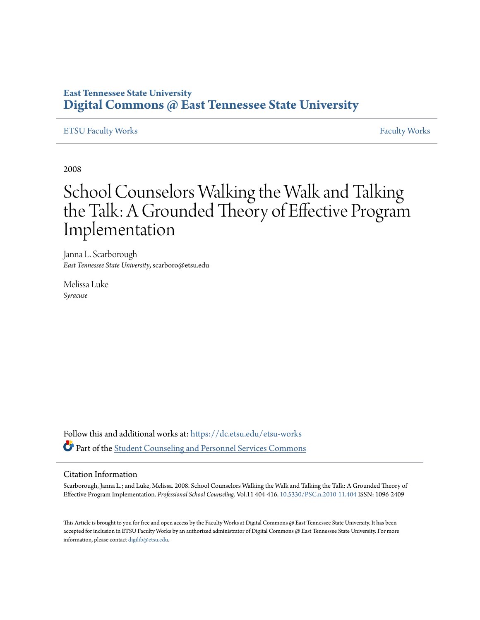### **East Tennessee State University [Digital Commons @ East Tennessee State University](https://dc.etsu.edu?utm_source=dc.etsu.edu%2Fetsu-works%2F1297&utm_medium=PDF&utm_campaign=PDFCoverPages)**

### [ETSU Faculty Works](https://dc.etsu.edu/etsu-works?utm_source=dc.etsu.edu%2Fetsu-works%2F1297&utm_medium=PDF&utm_campaign=PDFCoverPages) [Faculty Works](https://dc.etsu.edu/faculty-works?utm_source=dc.etsu.edu%2Fetsu-works%2F1297&utm_medium=PDF&utm_campaign=PDFCoverPages)

2008

### School Counselors Walking the Walk and Talking the Talk: A Grounded Theory of Effective Program Implementation

Janna L. Scarborough *East Tennessee State University*, scarboro@etsu.edu

Melissa Luke *Syracuse*

Follow this and additional works at: [https://dc.etsu.edu/etsu-works](https://dc.etsu.edu/etsu-works?utm_source=dc.etsu.edu%2Fetsu-works%2F1297&utm_medium=PDF&utm_campaign=PDFCoverPages) Part of the [Student Counseling and Personnel Services Commons](http://network.bepress.com/hgg/discipline/802?utm_source=dc.etsu.edu%2Fetsu-works%2F1297&utm_medium=PDF&utm_campaign=PDFCoverPages)

### Citation Information

Scarborough, Janna L.; and Luke, Melissa. 2008. School Counselors Walking the Walk and Talking the Talk: A Grounded Theory of Effective Program Implementation. *Professional School Counseling*. Vol.11 404-416. <10.5330/PSC.n.2010-11.404> ISSN: 1096-2409

This Article is brought to you for free and open access by the Faculty Works at Digital Commons @ East Tennessee State University. It has been accepted for inclusion in ETSU Faculty Works by an authorized administrator of Digital Commons @ East Tennessee State University. For more information, please contact [digilib@etsu.edu.](mailto:digilib@etsu.edu)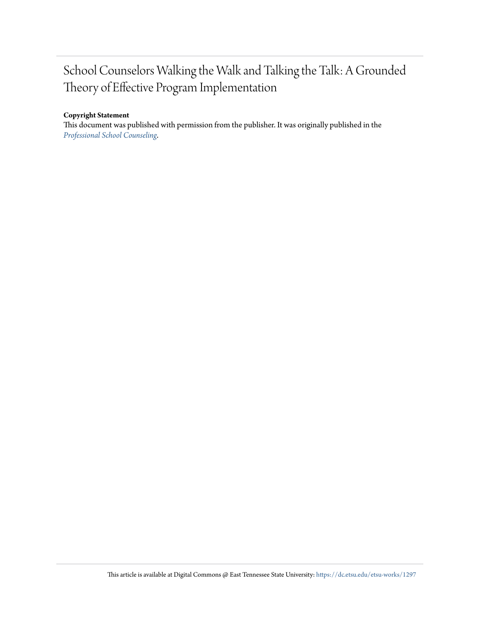### School Counselors Walking the Walk and Talking the Talk: A Grounded Theory of Effective Program Implementation

### **Copyright Statement**

This document was published with permission from the publisher. It was originally published in the *[Professional School Counseling](https://doi.org/10.5330/PSC.n.2010-11.404)*.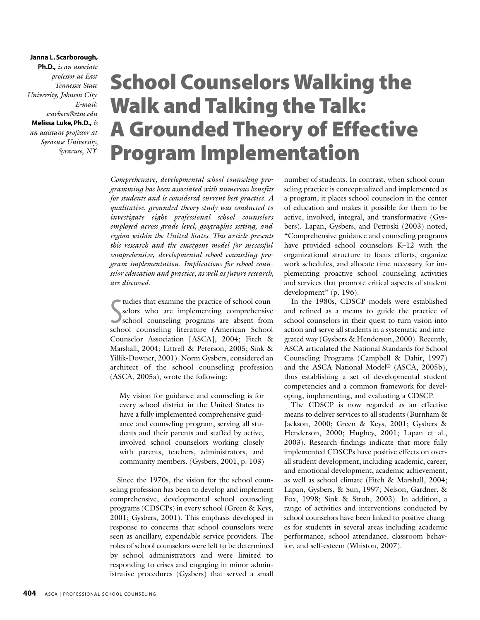Janna L. Scarborough,

Ph.D., *is an associate professor at East Tennessee State University, Johnson City. E-mail: scarboro@etsu.edu* Melissa Luke, Ph.D., *is an assistant professor at Syracuse University, Syracuse, NY.*

# School Counselors Walking the Walk and Talking the Talk: A Grounded Theory of Effective Program Implementation

*Comprehensive, developmental school counseling programming has been associated with numerous benefits for students and is considered current best practice. A qualitative, grounded theory study was conducted to investigate eight professional school counselors employed across grade level, geographic setting, and region within the United States. This article presents this research and the emergent model for successful comprehensive, developmental school counseling program implementation. Implications for school counselor education and practice, as well as future research, are discussed.*

S tudies that examine the practice of school counselors who are implementing comprehensive school counseling programs are absent from school counseling literature (American School Counselor Association [ASCA], 2004; Fitch & Marshall, 2004; Littrell & Peterson, 2005; Sink & Yillik-Downer, 2001). Norm Gysbers, considered an architect of the school counseling profession (ASCA, 2005a), wrote the following:

My vision for guidance and counseling is for every school district in the United States to have a fully implemented comprehensive guidance and counseling program, serving all students and their parents and staffed by active, involved school counselors working closely with parents, teachers, administrators, and community members. (Gysbers, 2001, p. 103)

Since the 1970s, the vision for the school counseling profession has been to develop and implement comprehensive, developmental school counseling programs (CDSCPs) in every school (Green & Keys, 2001; Gysbers, 2001). This emphasis developed in response to concerns that school counselors were seen as ancillary, expendable service providers. The roles of school counselors were left to be determined by school administrators and were limited to responding to crises and engaging in minor administrative procedures (Gysbers) that served a small

number of students. In contrast, when school counseling practice is conceptualized and implemented as a program, it places school counselors in the center of education and makes it possible for them to be active, involved, integral, and transformative (Gysbers). Lapan, Gysbers, and Petroski (2003) noted, "Comprehensive guidance and counseling programs have provided school counselors K–12 with the organizational structure to focus efforts, organize work schedules, and allocate time necessary for implementing proactive school counseling activities and services that promote critical aspects of student development" (p. 196).

In the 1980s, CDSCP models were established and refined as a means to guide the practice of school counselors in their quest to turn vision into action and serve all students in a systematic and integrated way (Gysbers & Henderson, 2000). Recently, ASCA articulated the National Standards for School Counseling Programs (Campbell & Dahir, 1997) and the ASCA National Model® (ASCA, 2005b), thus establishing a set of developmental student competencies and a common framework for developing, implementing, and evaluating a CDSCP.

The CDSCP is now regarded as an effective means to deliver services to all students (Burnham & Jackson, 2000; Green & Keys, 2001; Gysbers & Henderson, 2000; Hughey, 2001; Lapan et al., 2003). Research findings indicate that more fully implemented CDSCPs have positive effects on overall student development, including academic, career, and emotional development, academic achievement, as well as school climate (Fitch & Marshall, 2004; Lapan, Gysbers, & Sun, 1997; Nelson, Gardner, & Fox, 1998; Sink & Stroh, 2003). In addition, a range of activities and interventions conducted by school counselors have been linked to positive changes for students in several areas including academic performance, school attendance, classroom behavior, and self-esteem (Whiston, 2007).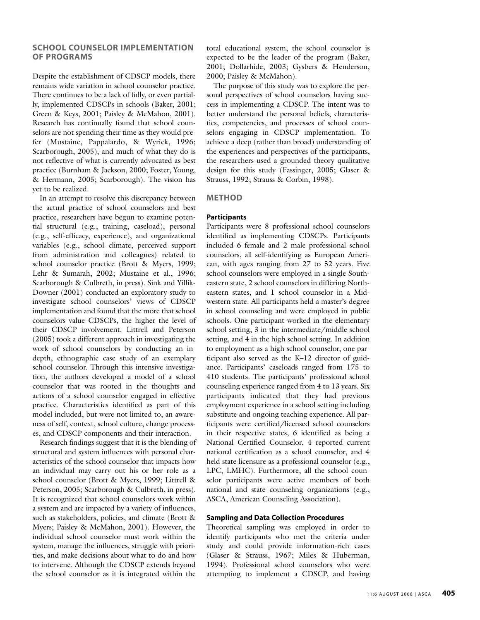### SCHOOL COUNSELOR IMPLEMENTATION OF PROGRAMS

Despite the establishment of CDSCP models, there remains wide variation in school counselor practice. There continues to be a lack of fully, or even partially, implemented CDSCPs in schools (Baker, 2001; Green & Keys, 2001; Paisley & McMahon, 2001). Research has continually found that school counselors are not spending their time as they would prefer (Mustaine, Pappalardo, & Wyrick, 1996; Scarborough, 2005), and much of what they do is not reflective of what is currently advocated as best practice (Burnham & Jackson, 2000; Foster, Young, & Hermann, 2005; Scarborough). The vision has yet to be realized.

In an attempt to resolve this discrepancy between the actual practice of school counselors and best practice, researchers have begun to examine potential structural (e.g., training, caseload), personal (e.g., self-efficacy, experience), and organizational variables (e.g., school climate, perceived support from administration and colleagues) related to school counselor practice (Brott & Myers, 1999; Lehr & Sumarah, 2002; Mustaine et al., 1996; Scarborough & Culbreth, in press). Sink and Yillik-Downer (2001) conducted an exploratory study to investigate school counselors' views of CDSCP implementation and found that the more that school counselors value CDSCPs, the higher the level of their CDSCP involvement. Littrell and Peterson (2005) took a different approach in investigating the work of school counselors by conducting an indepth, ethnographic case study of an exemplary school counselor. Through this intensive investigation, the authors developed a model of a school counselor that was rooted in the thoughts and actions of a school counselor engaged in effective practice. Characteristics identified as part of this model included, but were not limited to, an awareness of self, context, school culture, change processes, and CDSCP components and their interaction.

Research findings suggest that it is the blending of structural and system influences with personal characteristics of the school counselor that impacts how an individual may carry out his or her role as a school counselor (Brott & Myers, 1999; Littrell & Peterson, 2005; Scarborough & Culbreth, in press). It is recognized that school counselors work within a system and are impacted by a variety of influences, such as stakeholders, policies, and climate (Brott & Myers; Paisley & McMahon, 2001). However, the individual school counselor must work within the system, manage the influences, struggle with priorities, and make decisions about what to do and how to intervene. Although the CDSCP extends beyond the school counselor as it is integrated within the

total educational system, the school counselor is expected to be the leader of the program (Baker, 2001; Dollarhide, 2003; Gysbers & Henderson, 2000; Paisley & McMahon).

The purpose of this study was to explore the personal perspectives of school counselors having success in implementing a CDSCP. The intent was to better understand the personal beliefs, characteristics, competencies, and processes of school counselors engaging in CDSCP implementation. To achieve a deep (rather than broad) understanding of the experiences and perspectives of the participants, the researchers used a grounded theory qualitative design for this study (Fassinger, 2005; Glaser & Strauss, 1992; Strauss & Corbin, 1998).

### METHOD

### Participants

Participants were 8 professional school counselors identified as implementing CDSCPs. Participants included 6 female and 2 male professional school counselors, all self-identifying as European American, with ages ranging from 27 to 52 years. Five school counselors were employed in a single Southeastern state, 2 school counselors in differing Northeastern states, and 1 school counselor in a Midwestern state. All participants held a master's degree in school counseling and were employed in public schools. One participant worked in the elementary school setting, 3 in the intermediate/middle school setting, and 4 in the high school setting. In addition to employment as a high school counselor, one participant also served as the K–12 director of guidance. Participants' caseloads ranged from 175 to 410 students. The participants' professional school counseling experience ranged from 4 to 13 years. Six participants indicated that they had previous employment experience in a school setting including substitute and ongoing teaching experience. All participants were certified/licensed school counselors in their respective states, 6 identified as being a National Certified Counselor, 4 reported current national certification as a school counselor, and 4 held state licensure as a professional counselor (e.g., LPC, LMHC). Furthermore, all the school counselor participants were active members of both national and state counseling organizations (e.g., ASCA, American Counseling Association).

### Sampling and Data Collection Procedures

Theoretical sampling was employed in order to identify participants who met the criteria under study and could provide information-rich cases (Glaser & Strauss, 1967; Miles & Huberman, 1994). Professional school counselors who were attempting to implement a CDSCP, and having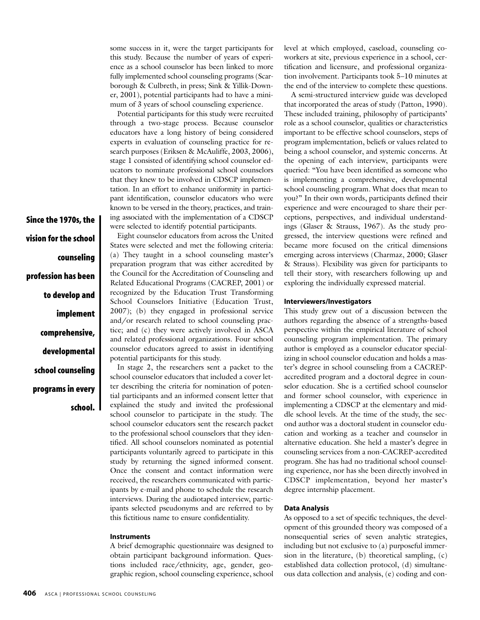some success in it, were the target participants for this study. Because the number of years of experience as a school counselor has been linked to more fully implemented school counseling programs (Scarborough & Culbreth, in press; Sink & Yillik-Downer, 2001), potential participants had to have a minimum of 3 years of school counseling experience.

Potential participants for this study were recruited through a two-stage process. Because counselor educators have a long history of being considered experts in evaluation of counseling practice for research purposes (Eriksen & McAuliffe, 2003, 2006), stage 1 consisted of identifying school counselor educators to nominate professional school counselors that they knew to be involved in CDSCP implementation. In an effort to enhance uniformity in participant identification, counselor educators who were known to be versed in the theory, practices, and training associated with the implementation of a CDSCP were selected to identify potential participants.

Eight counselor educators from across the United States were selected and met the following criteria: (a) They taught in a school counseling master's preparation program that was either accredited by the Council for the Accreditation of Counseling and Related Educational Programs (CACREP, 2001) or recognized by the Education Trust Transforming School Counselors Initiative (Education Trust, 2007); (b) they engaged in professional service and/or research related to school counseling practice; and (c) they were actively involved in ASCA and related professional organizations. Four school counselor educators agreed to assist in identifying potential participants for this study.

In stage 2, the researchers sent a packet to the school counselor educators that included a cover letter describing the criteria for nomination of potential participants and an informed consent letter that explained the study and invited the professional school counselor to participate in the study. The school counselor educators sent the research packet to the professional school counselors that they identified. All school counselors nominated as potential participants voluntarily agreed to participate in this study by returning the signed informed consent. Once the consent and contact information were received, the researchers communicated with participants by e-mail and phone to schedule the research interviews. During the audiotaped interview, participants selected pseudonyms and are referred to by this fictitious name to ensure confidentiality.

#### Instruments

A brief demographic questionnaire was designed to obtain participant background information. Questions included race/ethnicity, age, gender, geographic region, school counseling experience, school level at which employed, caseload, counseling coworkers at site, previous experience in a school, certification and licensure, and professional organization involvement. Participants took 5–10 minutes at the end of the interview to complete these questions.

A semi-structured interview guide was developed that incorporated the areas of study (Patton, 1990). These included training, philosophy of participants' role as a school counselor, qualities or characteristics important to be effective school counselors, steps of program implementation, beliefs or values related to being a school counselor, and systemic concerns. At the opening of each interview, participants were queried: "You have been identified as someone who is implementing a comprehensive, developmental school counseling program. What does that mean to you?" In their own words, participants defined their experience and were encouraged to share their perceptions, perspectives, and individual understandings (Glaser & Strauss, 1967). As the study progressed, the interview questions were refined and became more focused on the critical dimensions emerging across interviews (Charmaz, 2000; Glaser & Strauss). Flexibility was given for participants to tell their story, with researchers following up and exploring the individually expressed material.

### Interviewers/Investigators

This study grew out of a discussion between the authors regarding the absence of a strengths-based perspective within the empirical literature of school counseling program implementation. The primary author is employed as a counselor educator specializing in school counselor education and holds a master's degree in school counseling from a CACREPaccredited program and a doctoral degree in counselor education. She is a certified school counselor and former school counselor, with experience in implementing a CDSCP at the elementary and middle school levels. At the time of the study, the second author was a doctoral student in counselor education and working as a teacher and counselor in alternative education. She held a master's degree in counseling services from a non-CACREP-accredited program. She has had no traditional school counseling experience, nor has she been directly involved in CDSCP implementation, beyond her master's degree internship placement.

### Data Analysis

As opposed to a set of specific techniques, the development of this grounded theory was composed of a nonsequential series of seven analytic strategies, including but not exclusive to (a) purposeful immersion in the literature, (b) theoretical sampling, (c) established data collection protocol, (d) simultaneous data collection and analysis, (e) coding and con-

## vision for the school counseling profession has been to develop and implement comprehensive, developmental school counseling programs in every school.

Since the 1970s, the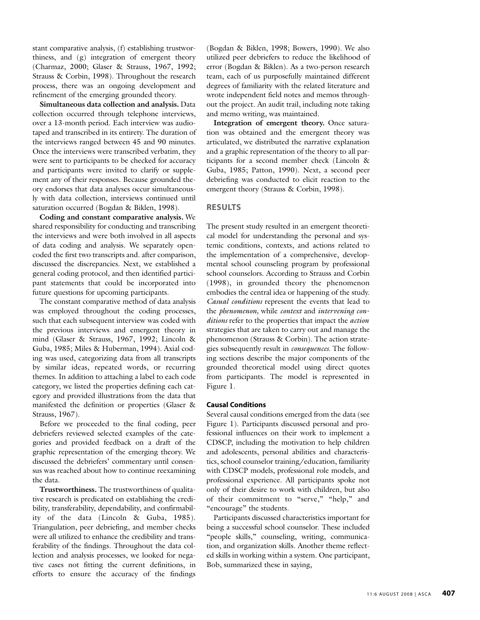stant comparative analysis, (f) establishing trustworthiness, and (g) integration of emergent theory (Charmaz, 2000; Glaser & Strauss, 1967, 1992; Strauss & Corbin, 1998). Throughout the research process, there was an ongoing development and refinement of the emerging grounded theory.

**Simultaneous data collection and analysis.** Data collection occurred through telephone interviews, over a 13-month period. Each interview was audiotaped and transcribed in its entirety. The duration of the interviews ranged between 45 and 90 minutes. Once the interviews were transcribed verbatim, they were sent to participants to be checked for accuracy and participants were invited to clarify or supplement any of their responses. Because grounded theory endorses that data analyses occur simultaneously with data collection, interviews continued until saturation occurred (Bogdan & Biklen, 1998).

**Coding and constant comparative analysis.** We shared responsibility for conducting and transcribing the interviews and were both involved in all aspects of data coding and analysis. We separately opencoded the first two transcripts and. after comparison, discussed the discrepancies. Next, we established a general coding protocol, and then identified participant statements that could be incorporated into future questions for upcoming participants.

The constant comparative method of data analysis was employed throughout the coding processes, such that each subsequent interview was coded with the previous interviews and emergent theory in mind (Glaser & Strauss, 1967, 1992; Lincoln & Guba, 1985; Miles & Huberman, 1994). Axial coding was used, categorizing data from all transcripts by similar ideas, repeated words, or recurring themes. In addition to attaching a label to each code category, we listed the properties defining each category and provided illustrations from the data that manifested the definition or properties (Glaser & Strauss, 1967).

Before we proceeded to the final coding, peer debriefers reviewed selected examples of the categories and provided feedback on a draft of the graphic representation of the emerging theory. We discussed the debriefers' commentary until consensus was reached about how to continue reexamining the data.

**Trustworthiness.** The trustworthiness of qualitative research is predicated on establishing the credibility, transferability, dependability, and confirmability of the data (Lincoln & Guba, 1985). Triangulation, peer debriefing, and member checks were all utilized to enhance the credibility and transferability of the findings. Throughout the data collection and analysis processes, we looked for negative cases not fitting the current definitions, in efforts to ensure the accuracy of the findings

(Bogdan & Biklen, 1998; Bowers, 1990). We also utilized peer debriefers to reduce the likelihood of error (Bogdan & Biklen). As a two-person research team, each of us purposefully maintained different degrees of familiarity with the related literature and wrote independent field notes and memos throughout the project. An audit trail, including note taking and memo writing, was maintained.

**Integration of emergent theory.** Once saturation was obtained and the emergent theory was articulated, we distributed the narrative explanation and a graphic representation of the theory to all participants for a second member check (Lincoln & Guba, 1985; Patton, 1990). Next, a second peer debriefing was conducted to elicit reaction to the emergent theory (Strauss & Corbin, 1998).

### RESULTS

The present study resulted in an emergent theoretical model for understanding the personal and systemic conditions, contexts, and actions related to the implementation of a comprehensive, developmental school counseling program by professional school counselors. According to Strauss and Corbin (1998), in grounded theory the phenomenon embodies the central idea or happening of the study. *Casual conditions* represent the events that lead to the *phenomenon,* while *context* and *intervening conditions* refer to the properties that impact the *action* strategies that are taken to carry out and manage the phenomenon (Strauss & Corbin). The action strategies subsequently result in *consequences.* The following sections describe the major components of the grounded theoretical model using direct quotes from participants. The model is represented in Figure 1.

### Causal Conditions

Several causal conditions emerged from the data (see Figure 1). Participants discussed personal and professional influences on their work to implement a CDSCP, including the motivation to help children and adolescents, personal abilities and characteristics, school counselor training/education, familiarity with CDSCP models, professional role models, and professional experience. All participants spoke not only of their desire to work with children, but also of their commitment to "serve," "help," and "encourage" the students.

Participants discussed characteristics important for being a successful school counselor. These included "people skills," counseling, writing, communication, and organization skills. Another theme reflected skills in working within a system. One participant, Bob, summarized these in saying,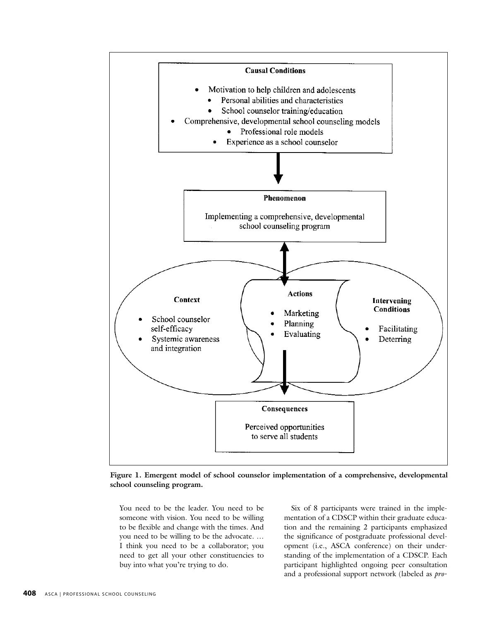

**Figure 1. Emergent model of school counselor implementation of a comprehensive, developmental school counseling program.**

You need to be the leader. You need to be someone with vision. You need to be willing to be flexible and change with the times. And you need to be willing to be the advocate. … I think you need to be a collaborator; you need to get all your other constituencies to buy into what you're trying to do.

Six of 8 participants were trained in the implementation of a CDSCP within their graduate education and the remaining 2 participants emphasized the significance of postgraduate professional development (i.e., ASCA conference) on their understanding of the implementation of a CDSCP. Each participant highlighted ongoing peer consultation and a professional support network (labeled as *pro-*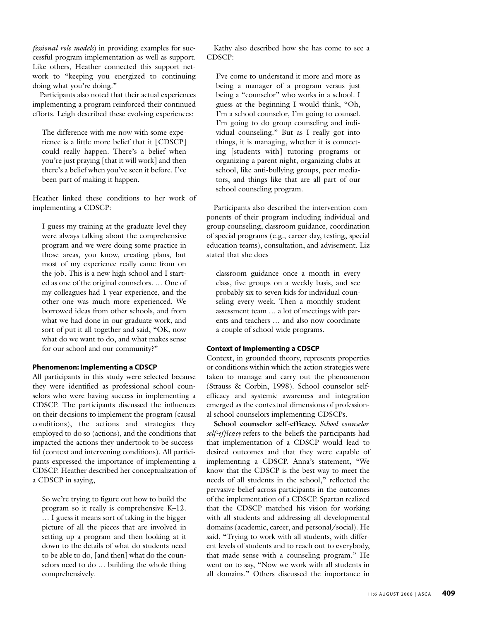*fessional role models*) in providing examples for successful program implementation as well as support. Like others, Heather connected this support network to "keeping you energized to continuing doing what you're doing."

Participants also noted that their actual experiences implementing a program reinforced their continued efforts. Leigh described these evolving experiences:

The difference with me now with some experience is a little more belief that it [CDSCP] could really happen. There's a belief when you're just praying [that it will work] and then there's a belief when you've seen it before. I've been part of making it happen.

Heather linked these conditions to her work of implementing a CDSCP:

I guess my training at the graduate level they were always talking about the comprehensive program and we were doing some practice in those areas, you know, creating plans, but most of my experience really came from on the job. This is a new high school and I started as one of the original counselors. … One of my colleagues had 1 year experience, and the other one was much more experienced. We borrowed ideas from other schools, and from what we had done in our graduate work, and sort of put it all together and said, "OK, now what do we want to do, and what makes sense for our school and our community?"

### Phenomenon: Implementing a CDSCP

All participants in this study were selected because they were identified as professional school counselors who were having success in implementing a CDSCP. The participants discussed the influences on their decisions to implement the program (causal conditions), the actions and strategies they employed to do so (actions), and the conditions that impacted the actions they undertook to be successful (context and intervening conditions). All participants expressed the importance of implementing a CDSCP. Heather described her conceptualization of a CDSCP in saying,

So we're trying to figure out how to build the program so it really is comprehensive K–12. … I guess it means sort of taking in the bigger picture of all the pieces that are involved in setting up a program and then looking at it down to the details of what do students need to be able to do, [and then] what do the counselors need to do … building the whole thing comprehensively.

Kathy also described how she has come to see a CDSCP:

I've come to understand it more and more as being a manager of a program versus just being a "counselor" who works in a school. I guess at the beginning I would think, "Oh, I'm a school counselor, I'm going to counsel. I'm going to do group counseling and individual counseling." But as I really got into things, it is managing, whether it is connecting [students with] tutoring programs or organizing a parent night, organizing clubs at school, like anti-bullying groups, peer mediators, and things like that are all part of our school counseling program.

Participants also described the intervention components of their program including individual and group counseling, classroom guidance, coordination of special programs (e.g., career day, testing, special education teams), consultation, and advisement. Liz stated that she does

classroom guidance once a month in every class, five groups on a weekly basis, and see probably six to seven kids for individual counseling every week. Then a monthly student assessment team … a lot of meetings with parents and teachers … and also now coordinate a couple of school-wide programs.

### Context of Implementing a CDSCP

Context, in grounded theory, represents properties or conditions within which the action strategies were taken to manage and carry out the phenomenon (Strauss & Corbin, 1998). School counselor selfefficacy and systemic awareness and integration emerged as the contextual dimensions of professional school counselors implementing CDSCPs.

**School counselor self-efficacy.** *School counselor self-efficacy* refers to the beliefs the participants had that implementation of a CDSCP would lead to desired outcomes and that they were capable of implementing a CDSCP. Anna's statement, "We know that the CDSCP is the best way to meet the needs of all students in the school," reflected the pervasive belief across participants in the outcomes of the implementation of a CDSCP. Spartan realized that the CDSCP matched his vision for working with all students and addressing all developmental domains (academic, career, and personal/social). He said, "Trying to work with all students, with different levels of students and to reach out to everybody, that made sense with a counseling program." He went on to say, "Now we work with all students in all domains." Others discussed the importance in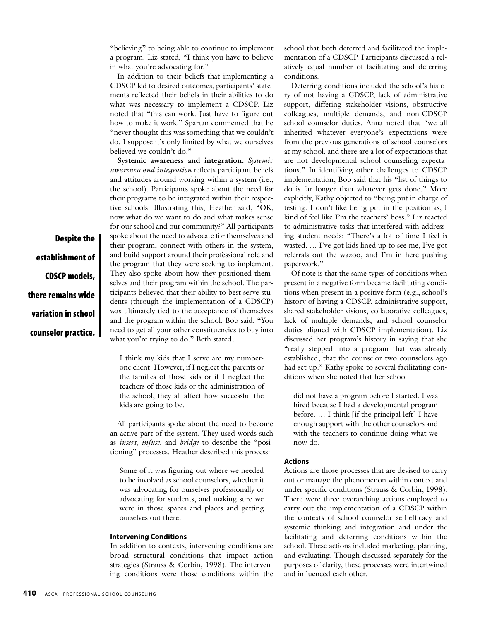"believing" to being able to continue to implement a program. Liz stated, "I think you have to believe in what you're advocating for."

In addition to their beliefs that implementing a CDSCP led to desired outcomes, participants' statements reflected their beliefs in their abilities to do what was necessary to implement a CDSCP. Liz noted that "this can work. Just have to figure out how to make it work." Spartan commented that he "never thought this was something that we couldn't do. I suppose it's only limited by what we ourselves believed we couldn't do."

**Systemic awareness and integration.** *Systemic awareness and integration* reflects participant beliefs and attitudes around working within a system (i.e., the school). Participants spoke about the need for their programs to be integrated within their respective schools. Illustrating this, Heather said, "OK, now what do we want to do and what makes sense for our school and our community?" All participants spoke about the need to advocate for themselves and their program, connect with others in the system, and build support around their professional role and the program that they were seeking to implement. They also spoke about how they positioned themselves and their program within the school. The participants believed that their ability to best serve students (through the implementation of a CDSCP) was ultimately tied to the acceptance of themselves and the program within the school. Bob said, "You need to get all your other constituencies to buy into what you're trying to do." Beth stated,

I think my kids that I serve are my numberone client. However, if I neglect the parents or the families of those kids or if I neglect the teachers of those kids or the administration of the school, they all affect how successful the kids are going to be.

All participants spoke about the need to become an active part of the system. They used words such as *insert, infuse*, and *bridge* to describe the "positioning" processes. Heather described this process:

Some of it was figuring out where we needed to be involved as school counselors, whether it was advocating for ourselves professionally or advocating for students, and making sure we were in those spaces and places and getting ourselves out there.

### Intervening Conditions

In addition to contexts, intervening conditions are broad structural conditions that impact action strategies (Strauss & Corbin, 1998). The intervening conditions were those conditions within the school that both deterred and facilitated the implementation of a CDSCP. Participants discussed a relatively equal number of facilitating and deterring conditions.

Deterring conditions included the school's history of not having a CDSCP, lack of administrative support, differing stakeholder visions, obstructive colleagues, multiple demands, and non-CDSCP school counselor duties. Anna noted that "we all inherited whatever everyone's expectations were from the previous generations of school counselors at my school, and there are a lot of expectations that are not developmental school counseling expectations." In identifying other challenges to CDSCP implementation, Bob said that his "list of things to do is far longer than whatever gets done." More explicitly, Kathy objected to "being put in charge of testing. I don't like being put in the position as, I kind of feel like I'm the teachers' boss." Liz reacted to administrative tasks that interfered with addressing student needs: "There's a lot of time I feel is wasted. … I've got kids lined up to see me, I've got referrals out the wazoo, and I'm in here pushing paperwork."

Of note is that the same types of conditions when present in a negative form became facilitating conditions when present in a positive form (e.g., school's history of having a CDSCP, administrative support, shared stakeholder visions, collaborative colleagues, lack of multiple demands, and school counselor duties aligned with CDSCP implementation). Liz discussed her program's history in saying that she "really stepped into a program that was already established, that the counselor two counselors ago had set up." Kathy spoke to several facilitating conditions when she noted that her school

did not have a program before I started. I was hired because I had a developmental program before. … I think [if the principal left] I have enough support with the other counselors and with the teachers to continue doing what we now do.

### Actions

Actions are those processes that are devised to carry out or manage the phenomenon within context and under specific conditions (Strauss & Corbin, 1998). There were three overarching actions employed to carry out the implementation of a CDSCP within the contexts of school counselor self-efficacy and systemic thinking and integration and under the facilitating and deterring conditions within the school. These actions included marketing, planning, and evaluating. Though discussed separately for the purposes of clarity, these processes were intertwined and influenced each other.

Despite the establishment of CDSCP models, there remains wide variation in school counselor practice.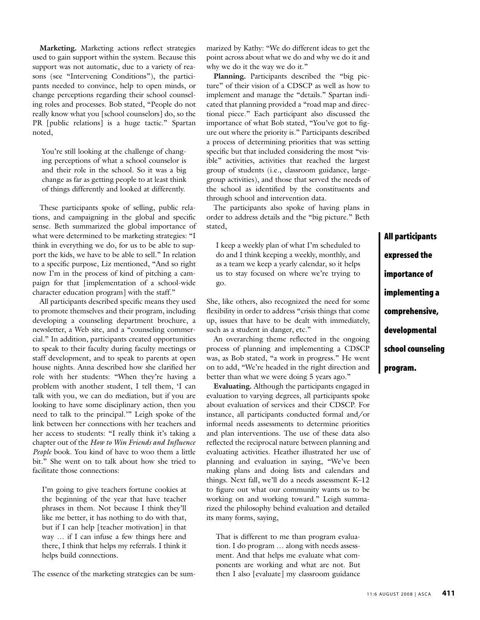**Marketing.** Marketing actions reflect strategies used to gain support within the system. Because this support was not automatic, due to a variety of reasons (see "Intervening Conditions"), the participants needed to convince, help to open minds, or change perceptions regarding their school counseling roles and processes. Bob stated, "People do not really know what you [school counselors] do, so the PR [public relations] is a huge tactic." Spartan noted,

You're still looking at the challenge of changing perceptions of what a school counselor is and their role in the school. So it was a big change as far as getting people to at least think of things differently and looked at differently.

These participants spoke of selling, public relations, and campaigning in the global and specific sense. Beth summarized the global importance of what were determined to be marketing strategies: "I think in everything we do, for us to be able to support the kids, we have to be able to sell." In relation to a specific purpose, Liz mentioned, "And so right now I'm in the process of kind of pitching a campaign for that [implementation of a school-wide character education program] with the staff."

All participants described specific means they used to promote themselves and their program, including developing a counseling department brochure, a newsletter, a Web site, and a "counseling commercial." In addition, participants created opportunities to speak to their faculty during faculty meetings or staff development, and to speak to parents at open house nights. Anna described how she clarified her role with her students: "When they're having a problem with another student, I tell them, 'I can talk with you, we can do mediation, but if you are looking to have some disciplinary action, then you need to talk to the principal.'" Leigh spoke of the link between her connections with her teachers and her access to students: "I really think it's taking a chapter out of the *How to Win Friends and Influence People* book. You kind of have to woo them a little bit." She went on to talk about how she tried to facilitate those connections:

I'm going to give teachers fortune cookies at the beginning of the year that have teacher phrases in them. Not because I think they'll like me better, it has nothing to do with that, but if I can help [teacher motivation] in that way … if I can infuse a few things here and there, I think that helps my referrals. I think it helps build connections.

The essence of the marketing strategies can be sum-

marized by Kathy: "We do different ideas to get the point across about what we do and why we do it and why we do it the way we do it."

**Planning.** Participants described the "big picture" of their vision of a CDSCP as well as how to implement and manage the "details." Spartan indicated that planning provided a "road map and directional piece." Each participant also discussed the importance of what Bob stated, "You've got to figure out where the priority is." Participants described a process of determining priorities that was setting specific but that included considering the most "visible" activities, activities that reached the largest group of students (i.e., classroom guidance, largegroup activities), and those that served the needs of the school as identified by the constituents and through school and intervention data.

The participants also spoke of having plans in order to address details and the "big picture." Beth stated,

I keep a weekly plan of what I'm scheduled to do and I think keeping a weekly, monthly, and as a team we keep a yearly calendar, so it helps us to stay focused on where we're trying to go.

She, like others, also recognized the need for some flexibility in order to address "crisis things that come up, issues that have to be dealt with immediately, such as a student in danger, etc."

An overarching theme reflected in the ongoing process of planning and implementing a CDSCP was, as Bob stated, "a work in progress." He went on to add, "We're headed in the right direction and better than what we were doing 5 years ago."

**Evaluating.** Although the participants engaged in evaluation to varying degrees, all participants spoke about evaluation of services and their CDSCP. For instance, all participants conducted formal and/or informal needs assessments to determine priorities and plan interventions. The use of these data also reflected the reciprocal nature between planning and evaluating activities. Heather illustrated her use of planning and evaluation in saying, "We've been making plans and doing lists and calendars and things. Next fall, we'll do a needs assessment K–12 to figure out what our community wants us to be working on and working toward." Leigh summarized the philosophy behind evaluation and detailed its many forms, saying,

That is different to me than program evaluation. I do program … along with needs assessment. And that helps me evaluate what components are working and what are not. But then I also [evaluate] my classroom guidance All participants expressed the importance of implementing a comprehensive, developmental school counseling program.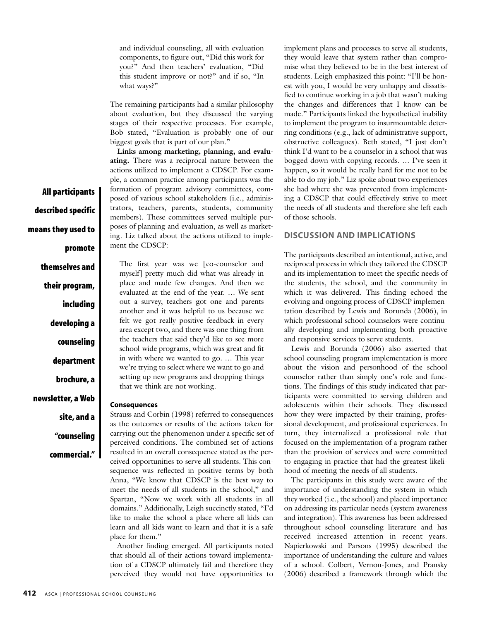and individual counseling, all with evaluation components, to figure out, "Did this work for you?" And then teachers' evaluation, "Did this student improve or not?" and if so, "In what ways?"

The remaining participants had a similar philosophy about evaluation, but they discussed the varying stages of their respective processes. For example, Bob stated, "Evaluation is probably one of our biggest goals that is part of our plan."

**Links among marketing, planning, and evaluating.** There was a reciprocal nature between the actions utilized to implement a CDSCP. For example, a common practice among participants was the formation of program advisory committees, composed of various school stakeholders (i.e., administrators, teachers, parents, students, community members). These committees served multiple purposes of planning and evaluation, as well as marketing. Liz talked about the actions utilized to implement the CDSCP:

The first year was we [co-counselor and myself] pretty much did what was already in place and made few changes. And then we evaluated at the end of the year. … We sent out a survey, teachers got one and parents another and it was helpful to us because we felt we got really positive feedback in every area except two, and there was one thing from the teachers that said they'd like to see more school-wide programs, which was great and fit in with where we wanted to go. … This year we're trying to select where we want to go and setting up new programs and dropping things that we think are not working.

### **Consequences**

Strauss and Corbin (1998) referred to consequences as the outcomes or results of the actions taken for carrying out the phenomenon under a specific set of perceived conditions. The combined set of actions resulted in an overall consequence stated as the perceived opportunities to serve all students. This consequence was reflected in positive terms by both Anna, "We know that CDSCP is the best way to meet the needs of all students in the school," and Spartan, "Now we work with all students in all domains." Additionally, Leigh succinctly stated, "I'd like to make the school a place where all kids can learn and all kids want to learn and that it is a safe place for them."

Another finding emerged. All participants noted that should all of their actions toward implementation of a CDSCP ultimately fail and therefore they perceived they would not have opportunities to implement plans and processes to serve all students, they would leave that system rather than compromise what they believed to be in the best interest of students. Leigh emphasized this point: "I'll be honest with you, I would be very unhappy and dissatisfied to continue working in a job that wasn't making the changes and differences that I know can be made." Participants linked the hypothetical inability to implement the program to insurmountable deterring conditions (e.g., lack of administrative support, obstructive colleagues). Beth stated, "I just don't think I'd want to be a counselor in a school that was bogged down with copying records. … I've seen it happen, so it would be really hard for me not to be able to do my job." Liz spoke about two experiences she had where she was prevented from implementing a CDSCP that could effectively strive to meet the needs of all students and therefore she left each of those schools.

### DISCUSSION AND IMPLICATIONS

The participants described an intentional, active, and reciprocal process in which they tailored the CDSCP and its implementation to meet the specific needs of the students, the school, and the community in which it was delivered. This finding echoed the evolving and ongoing process of CDSCP implementation described by Lewis and Borunda (2006), in which professional school counselors were continually developing and implementing both proactive and responsive services to serve students.

Lewis and Borunda (2006) also asserted that school counseling program implementation is more about the vision and personhood of the school counselor rather than simply one's role and functions. The findings of this study indicated that participants were committed to serving children and adolescents within their schools. They discussed how they were impacted by their training, professional development, and professional experiences. In turn, they internalized a professional role that focused on the implementation of a program rather than the provision of services and were committed to engaging in practice that had the greatest likelihood of meeting the needs of all students.

The participants in this study were aware of the importance of understanding the system in which they worked (i.e., the school) and placed importance on addressing its particular needs (system awareness and integration). This awareness has been addressed throughout school counseling literature and has received increased attention in recent years. Napierkowski and Parsons (1995) described the importance of understanding the culture and values of a school. Colbert, Vernon-Jones, and Pransky (2006) described a framework through which the

All participants described specific means they used to promote themselves and their program, including developing a

counseling

department

brochure, a

newsletter, a Web

site, and a

"counseling

commercial."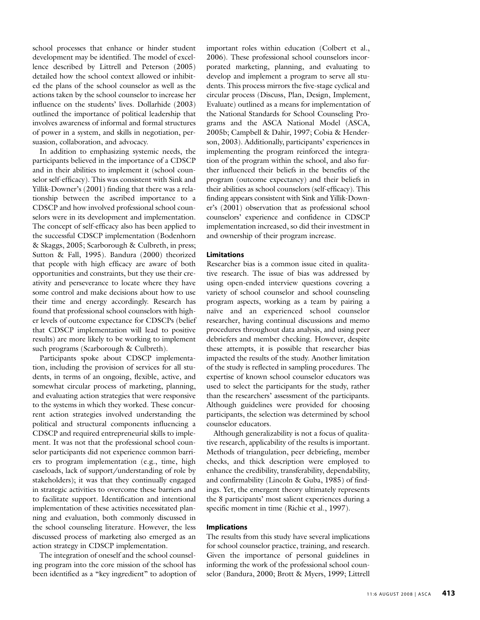school processes that enhance or hinder student development may be identified. The model of excellence described by Littrell and Peterson (2005) detailed how the school context allowed or inhibited the plans of the school counselor as well as the actions taken by the school counselor to increase her influence on the students' lives. Dollarhide (2003) outlined the importance of political leadership that involves awareness of informal and formal structures of power in a system, and skills in negotiation, persuasion, collaboration, and advocacy.

In addition to emphasizing systemic needs, the participants believed in the importance of a CDSCP and in their abilities to implement it (school counselor self-efficacy). This was consistent with Sink and Yillik-Downer's (2001) finding that there was a relationship between the ascribed importance to a CDSCP and how involved professional school counselors were in its development and implementation. The concept of self-efficacy also has been applied to the successful CDSCP implementation (Bodenhorn & Skaggs, 2005; Scarborough & Culbreth, in press; Sutton & Fall, 1995). Bandura (2000) theorized that people with high efficacy are aware of both opportunities and constraints, but they use their creativity and perseverance to locate where they have some control and make decisions about how to use their time and energy accordingly. Research has found that professional school counselors with higher levels of outcome expectance for CDSCPs (belief that CDSCP implementation will lead to positive results) are more likely to be working to implement such programs (Scarborough & Culbreth).

Participants spoke about CDSCP implementation, including the provision of services for all students, in terms of an ongoing, flexible, active, and somewhat circular process of marketing, planning, and evaluating action strategies that were responsive to the systems in which they worked. These concurrent action strategies involved understanding the political and structural components influencing a CDSCP and required entrepreneurial skills to implement. It was not that the professional school counselor participants did not experience common barriers to program implementation (e.g., time, high caseloads, lack of support/understanding of role by stakeholders); it was that they continually engaged in strategic activities to overcome these barriers and to facilitate support. Identification and intentional implementation of these activities necessitated planning and evaluation, both commonly discussed in the school counseling literature. However, the less discussed process of marketing also emerged as an action strategy in CDSCP implementation.

The integration of oneself and the school counseling program into the core mission of the school has been identified as a "key ingredient" to adoption of important roles within education (Colbert et al., 2006). These professional school counselors incorporated marketing, planning, and evaluating to develop and implement a program to serve all students. This process mirrors the five-stage cyclical and circular process (Discuss, Plan, Design, Implement, Evaluate) outlined as a means for implementation of the National Standards for School Counseling Programs and the ASCA National Model (ASCA, 2005b; Campbell & Dahir, 1997; Cobia & Henderson, 2003). Additionally, participants' experiences in implementing the program reinforced the integration of the program within the school, and also further influenced their beliefs in the benefits of the program (outcome expectancy) and their beliefs in their abilities as school counselors (self-efficacy). This finding appears consistent with Sink and Yillik-Downer's (2001) observation that as professional school counselors' experience and confidence in CDSCP implementation increased, so did their investment in and ownership of their program increase.

### Limitations

Researcher bias is a common issue cited in qualitative research. The issue of bias was addressed by using open-ended interview questions covering a variety of school counselor and school counseling program aspects, working as a team by pairing a naïve and an experienced school counselor researcher, having continual discussions and memo procedures throughout data analysis, and using peer debriefers and member checking. However, despite these attempts, it is possible that researcher bias impacted the results of the study. Another limitation of the study is reflected in sampling procedures. The expertise of known school counselor educators was used to select the participants for the study, rather than the researchers' assessment of the participants. Although guidelines were provided for choosing participants, the selection was determined by school counselor educators.

Although generalizability is not a focus of qualitative research, applicability of the results is important. Methods of triangulation, peer debriefing, member checks, and thick description were employed to enhance the credibility, transferability, dependability, and confirmability (Lincoln & Guba, 1985) of findings. Yet, the emergent theory ultimately represents the 8 participants' most salient experiences during a specific moment in time (Richie et al., 1997).

### Implications

The results from this study have several implications for school counselor practice, training, and research. Given the importance of personal guidelines in informing the work of the professional school counselor (Bandura, 2000; Brott & Myers, 1999; Littrell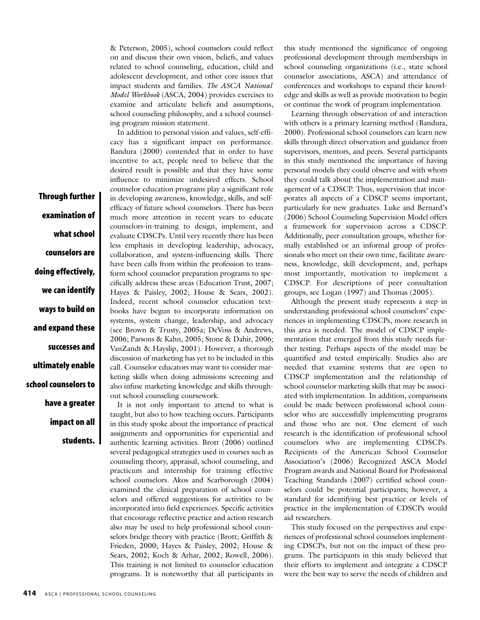& Peterson, 2005), school counselors could reflect on and discuss their own vision, beliefs, and values related to school counseling, education, child and adolescent development, and other core issues that impact students and families. *The ASCA National Model Workbook* (ASCA, 2004) provides exercises to examine and articulate beliefs and assumptions, school counseling philosophy, and a school counseling program mission statement.

In addition to personal vision and values, self-efficacy has a significant impact on performance. Bandura (2000) contended that in order to have incentive to act, people need to believe that the desired result is possible and that they have some influence to minimize undesired effects. School counselor education programs play a significant role in developing awareness, knowledge, skills, and selfefficacy of future school counselors. There has been much more attention in recent years to educate counselors-in-training to design, implement, and evaluate CDSCPs. Until very recently there has been less emphasis in developing leadership, advocacy, collaboration, and system-influencing skills. There have been calls from within the profession to transform school counselor preparation programs to specifically address these areas (Education Trust, 2007; Hayes & Paisley, 2002; House & Sears, 2002). Indeed, recent school counselor education textbooks have begun to incorporate information on systems, system change, leadership, and advocacy (see Brown & Trusty, 2005a; DeVoss & Andrews, 2006; Parsons & Kahn, 2005; Stone & Dahir, 2006; VanZandt & Hayslip, 2001). However, a thorough discussion of marketing has yet to be included in this call. Counselor educators may want to consider marketing skills when doing admissions screening and also infuse marketing knowledge and skills throughout school counseling coursework.

It is not only important to attend to what is taught, but also to how teaching occurs. Participants in this study spoke about the importance of practical assignments and opportunities for experiential and authentic learning activities. Brott (2006) outlined several pedagogical strategies used in courses such as counseling theory, appraisal, school counseling, and practicum and internship for training effective school counselors. Akos and Scarborough (2004) examined the clinical preparation of school counselors and offered suggestions for activities to be incorporated into field experiences. Specific activities that encourage reflective practice and action research also may be used to help professional school counselors bridge theory with practice (Brott; Griffith & Frieden, 2000; Hayes & Paisley, 2002; House & Sears, 2002; Koch & Arhar, 2002; Rowell, 2006). This training is not limited to counselor education programs. It is noteworthy that all participants in

this study mentioned the significance of ongoing professional development through memberships in school counseling organizations (i.e., state school counselor associations, ASCA) and attendance of conferences and workshops to expand their knowledge and skills as well as provide motivation to begin or continue the work of program implementation.

Learning through observation of and interaction with others is a primary learning method (Bandura, 2000). Professional school counselors can learn new skills through direct observation and guidance from supervisors, mentors, and peers. Several participants in this study mentioned the importance of having personal models they could observe and with whom they could talk about the implementation and management of a CDSCP. Thus, supervision that incorporates all aspects of a CDSCP seems important, particularly for new graduates. Luke and Bernard's (2006) School Counseling Supervision Model offers a framework for supervision across a CDSCP. Additionally, peer consultation groups, whether formally established or an informal group of professionals who meet on their own time, facilitate awareness, knowledge, skill development, and, perhaps most importantly, motivation to implement a CDSCP. For descriptions of peer consultation groups, see Logan (1997) and Thomas (2005).

Although the present study represents a step in understanding professional school counselors' experiences in implementing CDSCPs, more research in this area is needed. The model of CDSCP implementation that emerged from this study needs further testing. Perhaps aspects of the model may be quantified and tested empirically. Studies also are needed that examine systems that are open to CDSCP implementation and the relationship of school counselor marketing skills that may be associated with implementation. In addition, comparisons could be made between professional school counselor who are successfully implementing programs and those who are not. One element of such research is the identification of professional school counselors who are implementing CDSCPs. Recipients of the American School Counselor Association's (2006) Recognized ASCA Model Program awards and National Board for Professional Teaching Standards (2007) certified school counselors could be potential participants; however, a standard for identifying best practice or levels of practice in the implementation of CDSCPs would aid researchers.

This study focused on the perspectives and experiences of professional school counselors implementing CDSCPs, but not on the impact of these programs. The participants in this study believed that their efforts to implement and integrate a CDSCP were the best way to serve the needs of children and

examination of what school counselors are doing effectively, we can identify ways to build on and expand these successes and ultimately enable school counselors to have a greater impact on all students.

Through further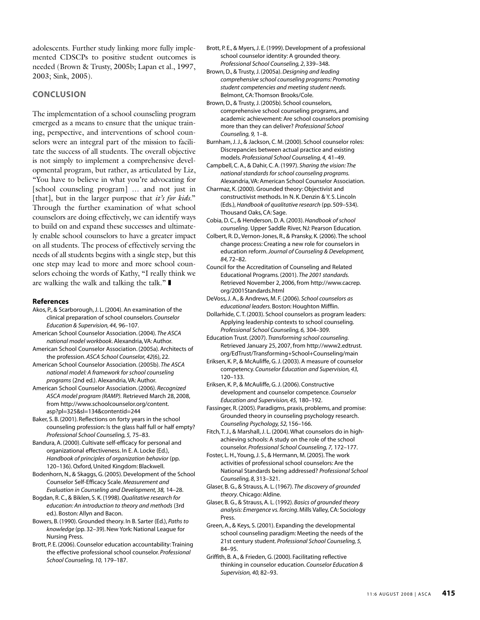adolescents. Further study linking more fully implemented CDSCPs to positive student outcomes is needed (Brown & Trusty, 2005b; Lapan et al., 1997, 2003; Sink, 2005).

### **CONCLUSION**

The implementation of a school counseling program emerged as a means to ensure that the unique training, perspective, and interventions of school counselors were an integral part of the mission to facilitate the success of all students. The overall objective is not simply to implement a comprehensive developmental program, but rather, as articulated by Liz, "You have to believe in what you're advocating for [school counseling program] … and not just in [that], but in the larger purpose that *it's for kids.*" Through the further examination of what school counselors are doing effectively, we can identify ways to build on and expand these successes and ultimately enable school counselors to have a greater impact on all students. The process of effectively serving the needs of all students begins with a single step, but this one step may lead to more and more school counselors echoing the words of Kathy, "I really think we are walking the walk and talking the talk." ❚

#### References

- Akos, P., & Scarborough, J. L. (2004). An examination of the clinical preparation of school counselors. Counselor Education & Supervision, 44, 96–107.
- American School Counselor Association. (2004). The ASCA national model workbook. Alexandria, VA: Author.
- American School Counselor Association. (2005a). Architects of the profession. ASCA School Counselor, 42(6), 22.
- American School Counselor Association. (2005b). The ASCA national model: A framework for school counseling programs (2nd ed.). Alexandria, VA: Author.
- American School Counselor Association. (2006). Recognized ASCA model program (RAMP). Retrieved March 28, 2008, from http://www.schoolcounselor.org/content. asp?pl=325&sl=134&contentid=244
- Baker, S. B. (2001). Reflections on forty years in the school counseling profession: Is the glass half full or half empty? Professional School Counseling, 5, 75–83.
- Bandura, A. (2000). Cultivate self-efficacy for personal and organizational effectiveness. In E. A. Locke (Ed.), Handbook of principles of organization behavior (pp. 120–136). Oxford, United Kingdom: Blackwell.

Bodenhorn, N., & Skaggs, G. (2005). Development of the School Counselor Self-Efficacy Scale. Measurement and Evaluation in Counseling and Development, 38, 14–28.

- Bogdan, R. C., & Biklen, S. K. (1998). Qualitative research for education: An introduction to theory and methods (3rd ed.). Boston: Allyn and Bacon.
- Bowers, B. (1990). Grounded theory. In B. Sarter (Ed.), Paths to knowledge (pp. 32–39). New York: National League for Nursing Press.
- Brott, P. E. (2006). Counselor education accountability: Training the effective professional school counselor. Professional School Counseling, 10, 179–187.
- Brott, P. E., & Myers, J. E. (1999). Development of a professional school counselor identity: A grounded theory. Professional School Counseling, 2, 339–348.
- Brown, D., & Trusty, J. (2005a). Designing and leading comprehensive school counseling programs: Promoting student competencies and meeting student needs. Belmont, CA: Thomson Brooks/Cole.
- Brown, D., & Trusty, J. (2005b). School counselors, comprehensive school counseling programs, and academic achievement: Are school counselors promising more than they can deliver? Professional School Counseling, 9, 1–8.
- Burnham, J. J., & Jackson, C. M. (2000). School counselor roles: Discrepancies between actual practice and existing models. Professional School Counseling, 4, 41–49.
- Campbell, C. A., & Dahir, C. A. (1997). Sharing the vision: The national standards for school counseling programs. Alexandria, VA: American School Counselor Association.
- Charmaz, K. (2000). Grounded theory: Objectivist and constructivist methods. In N. K. Denzin & Y. S. Lincoln (Eds.), Handbook of qualitative research (pp. 509–534). Thousand Oaks, CA: Sage.
- Cobia, D. C., & Henderson, D. A. (2003). Handbook of school counseling. Upper Saddle River, NJ: Pearson Education.
- Colbert, R. D., Vernon-Jones, R., & Pransky, K. (2006). The school change process: Creating a new role for counselors in education reform.Journal of Counseling & Development, 84, 72–82.
- Council for the Accreditation of Counseling and Related Educational Programs. (2001). The 2001 standards. Retrieved November 2, 2006, from http://www.cacrep. org/2001Standards.html
- DeVoss, J. A., & Andrews, M. F. (2006). School counselors as educational leaders. Boston: Houghton Mifflin.
- Dollarhide, C. T. (2003). School counselors as program leaders: Applying leadership contexts to school counseling. Professional School Counseling, 6, 304–309.
- Education Trust. (2007). Transforming school counseling. Retrieved January 25, 2007, from http://www2.edtrust. org/EdTrust/Transforming+School+Counseling/main
- Eriksen, K. P., & McAuliffe, G. J. (2003). A measure of counselor competency. Counselor Education and Supervision, 43, 120–133.
- Eriksen, K. P., & McAuliffe, G. J. (2006). Constructive development and counselor competence. Counselor Education and Supervision, 45, 180–192.
- Fassinger, R. (2005). Paradigms, praxis, problems, and promise: Grounded theory in counseling psychology research. Counseling Psychology, 52, 156–166.
- Fitch, T. J., & Marshall, J. L. (2004). What counselors do in highachieving schools: A study on the role of the school counselor. Professional School Counseling, 7, 172–177.
- Foster, L. H., Young, J. S., & Hermann, M. (2005). The work activities of professional school counselors: Are the National Standards being addressed? Professional School Counseling, 8, 313–321.
- Glaser, B. G., & Strauss, A. L. (1967). The discovery of grounded theory. Chicago: Aldine.
- Glaser, B. G., & Strauss, A. L. (1992). Basics of grounded theory analysis: Emergence vs. forcing. Mills Valley, CA: Sociology Press.
- Green, A., & Keys, S. (2001). Expanding the developmental school counseling paradigm: Meeting the needs of the 21st century student. Professional School Counseling, 5, 84–95.
- Griffith, B. A., & Frieden, G. (2000). Facilitating reflective thinking in counselor education. Counselor Education & Supervision, 40, 82–93.